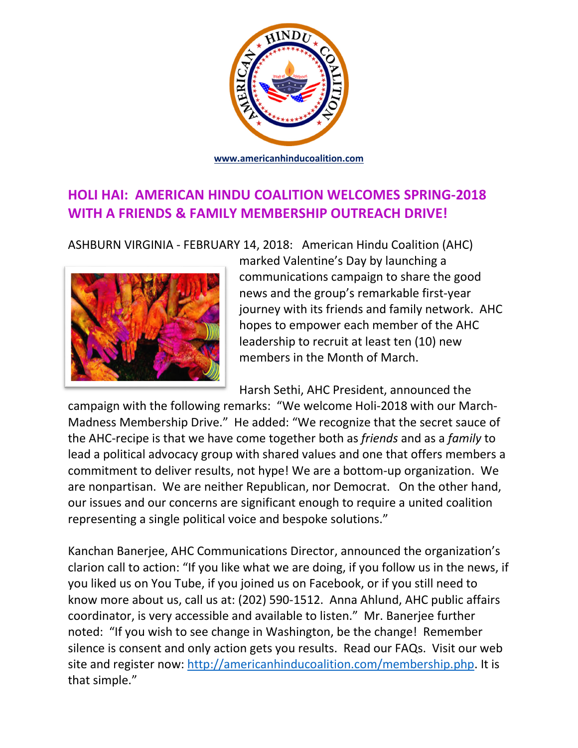

# **HOLI HAI: AMERICAN HINDU COALITION WELCOMES SPRING-2018 WITH A FRIENDS & FAMILY MEMBERSHIP OUTREACH DRIVE!**

ASHBURN VIRGINIA - FEBRUARY 14, 2018: American Hindu Coalition (AHC)



marked Valentine's Day by launching a communications campaign to share the good news and the group's remarkable first-year journey with its friends and family network. AHC hopes to empower each member of the AHC leadership to recruit at least ten (10) new members in the Month of March.

Harsh Sethi, AHC President, announced the

campaign with the following remarks: "We welcome Holi-2018 with our March-Madness Membership Drive." He added: "We recognize that the secret sauce of the AHC-recipe is that we have come together both as *friends* and as a *family* to lead a political advocacy group with shared values and one that offers members a commitment to deliver results, not hype! We are a bottom-up organization. We are nonpartisan. We are neither Republican, nor Democrat. On the other hand, our issues and our concerns are significant enough to require a united coalition representing a single political voice and bespoke solutions."

Kanchan Banerjee, AHC Communications Director, announced the organization's clarion call to action: "If you like what we are doing, if you follow us in the news, if you liked us on You Tube, if you joined us on Facebook, or if you still need to know more about us, call us at: (202) 590-1512. Anna Ahlund, AHC public affairs coordinator, is very accessible and available to listen." Mr. Banerjee further noted: "If you wish to see change in Washington, be the change! Remember silence is consent and only action gets you results. Read our FAQs. Visit our web site and register now: http://americanhinducoalition.com/membership.php. It is that simple."